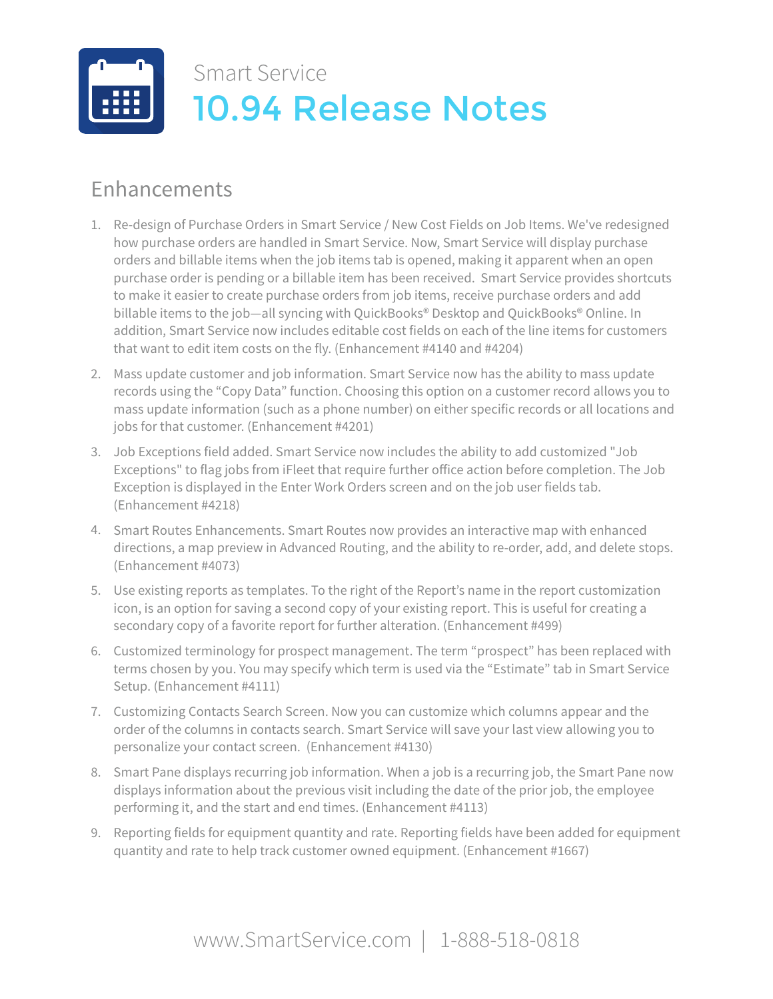

## Enhancements

- 1. Re-design of Purchase Orders in Smart Service / New Cost Fields on Job Items. We've redesigned how purchase orders are handled in Smart Service. Now, Smart Service will display purchase orders and billable items when the job items tab is opened, making it apparent when an open purchase order is pending or a billable item has been received. Smart Service provides shortcuts to make it easier to create purchase orders from job items, receive purchase orders and add billable items to the job—all syncing with QuickBooks® Desktop and QuickBooks® Online. In addition, Smart Service now includes editable cost fields on each of the line items for customers that want to edit item costs on the fly. (Enhancement #4140 and #4204)
- 2. Mass update customer and job information. Smart Service now has the ability to mass update records using the "Copy Data" function. Choosing this option on a customer record allows you to mass update information (such as a phone number) on either specific records or all locations and jobs for that customer. (Enhancement #4201)
- 3. Job Exceptions field added. Smart Service now includes the ability to add customized "Job Exceptions" to flag jobs from iFleet that require further office action before completion. The Job Exception is displayed in the Enter Work Orders screen and on the job user fields tab. (Enhancement #4218)
- 4. Smart Routes Enhancements. Smart Routes now provides an interactive map with enhanced directions, a map preview in Advanced Routing, and the ability to re-order, add, and delete stops. (Enhancement #4073)
- 5. Use existing reports as templates. To the right of the Report's name in the report customization icon, is an option for saving a second copy of your existing report. This is useful for creating a secondary copy of a favorite report for further alteration. (Enhancement #499)
- 6. Customized terminology for prospect management. The term "prospect" has been replaced with terms chosen by you. You may specify which term is used via the "Estimate" tab in Smart Service Setup. (Enhancement #4111)
- 7. Customizing Contacts Search Screen. Now you can customize which columns appear and the order of the columns in contacts search. Smart Service will save your last view allowing you to personalize your contact screen. (Enhancement #4130)
- 8. Smart Pane displays recurring job information. When a job is a recurring job, the Smart Pane now displays information about the previous visit including the date of the prior job, the employee performing it, and the start and end times. (Enhancement #4113)
- 9. Reporting fields for equipment quantity and rate. Reporting fields have been added for equipment quantity and rate to help track customer owned equipment. (Enhancement #1667)